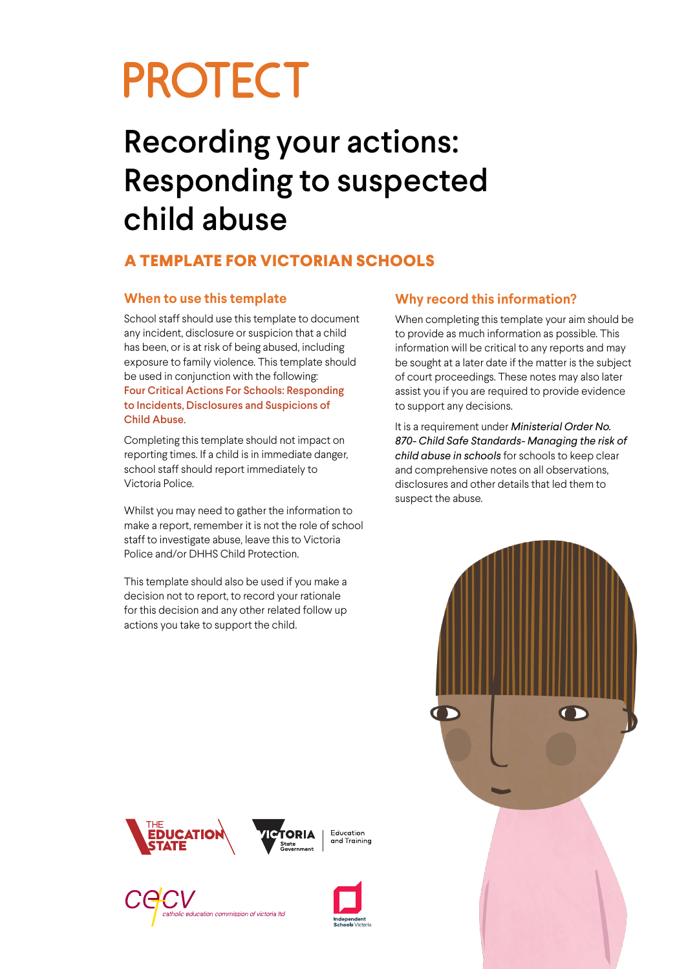# **PROTECT**

## Recording your actions: Responding to suspected child abuse

#### **A TEMPLATE FOR VICTORIAN SCHOOLS**

#### **When to use this template**

School staff should use this template to document any incident, disclosure or suspicion that a child has been, or is at risk of being abused, including exposure to family violence. This template should be used in conjunction with the following: Four Critical Actions For Schools: Responding to Incidents, Disclosures and Suspicions of Child Abuse.

Completing this template should not impact on reporting times. If a child is in immediate danger, school staff should report immediately to Victoria Police.

Whilst you may need to gather the information to make a report, remember it is not the role of school staff to investigate abuse, leave this to Victoria Police and/or DHHS Child Protection.

This template should also be used if you make a decision not to report, to record your rationale for this decision and any other related follow up actions you take to support the child.

#### **Why record this information?**

When completing this template your aim should be to provide as much information as possible. This information will be critical to any reports and may be sought at a later date if the matter is the subject of court proceedings. These notes may also later assist you if you are required to provide evidence to support any decisions.

It is a requirement under *Ministerial Order No. 870- Child Safe Standards- Managing the risk of child abuse in schools* for schools to keep clear and comprehensive notes on all observations, disclosures and other details that led them to suspect the abuse.











Education and Training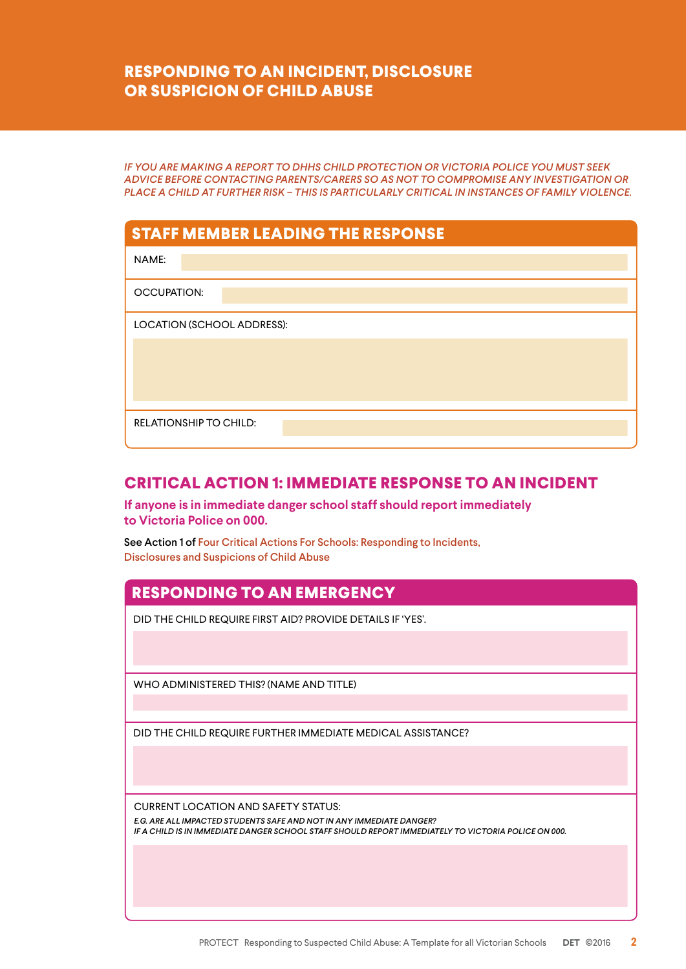#### **RESPONDING TO AN INCIDENT, DISCLOSURE OR SUSPICION OF CHILD ABUSE**

*IF YOU ARE MAKING A REPORT TO DHHS CHILD PROTECTION OR VICTORIA POLICE YOU MUST SEEK ADVICE BEFORE CONTACTING PARENTS/CARERS SO AS NOT TO COMPROMISE ANY INVESTIGATION OR PLACE A CHILD AT FURTHER RISK – THIS IS PARTICULARLY CRITICAL IN INSTANCES OF FAMILY VIOLENCE.* 

| <b>STAFF MEMBER LEADING THE RESPONSE</b> |  |  |  |
|------------------------------------------|--|--|--|
| NAME:                                    |  |  |  |
| <b>OCCUPATION:</b>                       |  |  |  |
| LOCATION (SCHOOL ADDRESS):               |  |  |  |
|                                          |  |  |  |
|                                          |  |  |  |
|                                          |  |  |  |
| <b>RELATIONSHIP TO CHILD:</b>            |  |  |  |

#### **CRITICAL ACTION 1: IMMEDIATE RESPONSE TO AN INCIDENT**

**If anyone is in immediate danger school staff should report immediately to Victoria Police on 000.**

See Action 1 of Four Critical Actions For Schools: Responding to Incidents, Disclosures and Suspicions of Child Abuse

#### **RESPONDING TO AN EMERGENCY**

DID THE CHILD REQUIRE FIRST AID? PROVIDE DETAILS IF 'YES'.

WHO ADMINISTERED THIS? (NAME AND TITLE)

DID THE CHILD REQUIRE FURTHER IMMEDIATE MEDICAL ASSISTANCE?

CURRENT LOCATION AND SAFETY STATUS:

*E.G. ARE ALL IMPACTED STUDENTS SAFE AND NOT IN ANY IMMEDIATE DANGER? IF A CHILD IS IN IMMEDIATE DANGER SCHOOL STAFF SHOULD REPORT IMMEDIATELY TO VICTORIA POLICE ON 000.*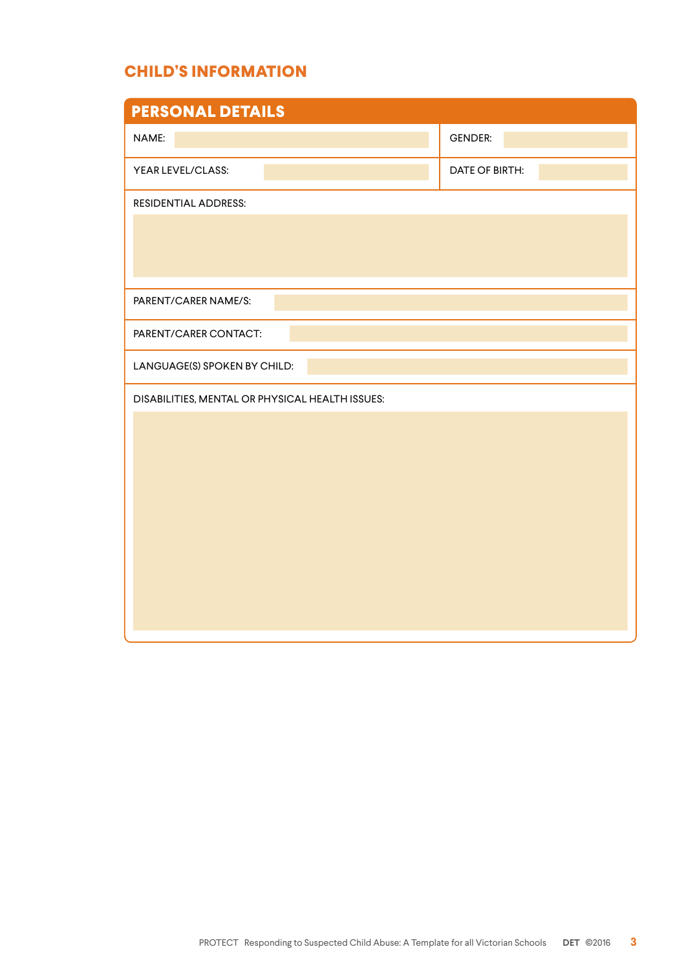#### **CHILD'S INFORMATION**

| <b>PERSONAL DETAILS</b>                         |                       |  |  |  |  |
|-------------------------------------------------|-----------------------|--|--|--|--|
| NAME:                                           | <b>GENDER:</b>        |  |  |  |  |
| YEAR LEVEL/CLASS:                               | <b>DATE OF BIRTH:</b> |  |  |  |  |
| <b>RESIDENTIAL ADDRESS:</b>                     |                       |  |  |  |  |
|                                                 |                       |  |  |  |  |
|                                                 |                       |  |  |  |  |
|                                                 |                       |  |  |  |  |
| PARENT/CARER NAME/S:                            |                       |  |  |  |  |
| PARENT/CARER CONTACT:                           |                       |  |  |  |  |
| LANGUAGE(S) SPOKEN BY CHILD:                    |                       |  |  |  |  |
| DISABILITIES, MENTAL OR PHYSICAL HEALTH ISSUES: |                       |  |  |  |  |
|                                                 |                       |  |  |  |  |
|                                                 |                       |  |  |  |  |
|                                                 |                       |  |  |  |  |
|                                                 |                       |  |  |  |  |
|                                                 |                       |  |  |  |  |
|                                                 |                       |  |  |  |  |
|                                                 |                       |  |  |  |  |
|                                                 |                       |  |  |  |  |
|                                                 |                       |  |  |  |  |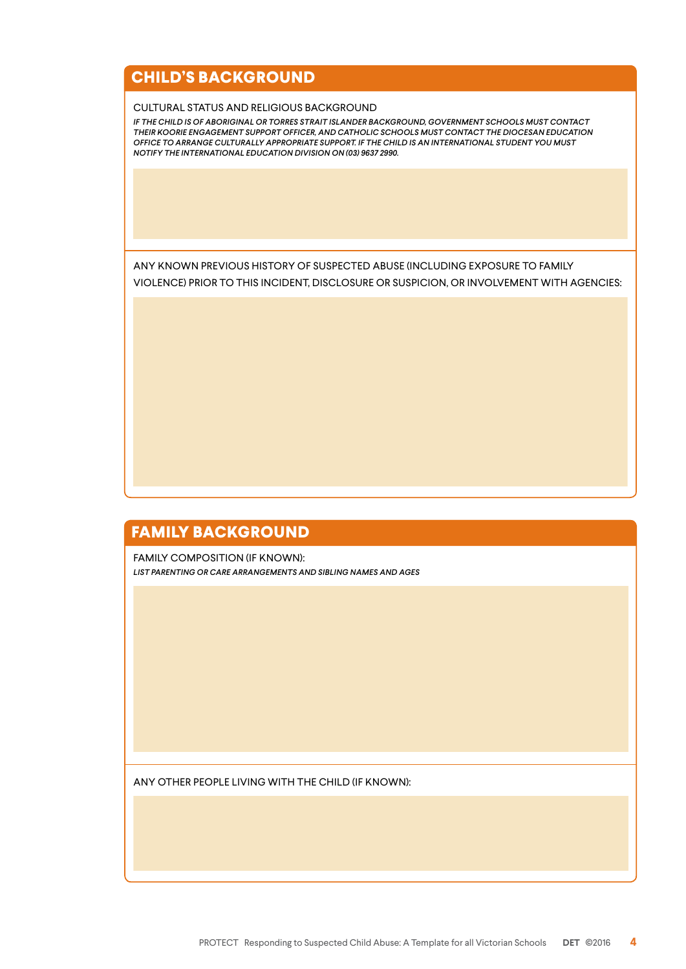#### **CHILD'S BACKGROUND**

#### CULTURAL STATUS AND RELIGIOUS BACKGROUND

*IF THE CHILD IS OF ABORIGINAL OR TORRES STRAIT ISLANDER BACKGROUND, GOVERNMENT SCHOOLS MUST CONTACT THEIR KOORIE ENGAGEMENT SUPPORT OFFICER, AND CATHOLIC SCHOOLS MUST CONTACT THE DIOCESAN EDUCATION OFFICE TO ARRANGE CULTURALLY APPROPRIATE SUPPORT. IF THE CHILD IS AN INTERNATIONAL STUDENT YOU MUST NOTIFY THE INTERNATIONAL EDUCATION DIVISION ON (03) 9637 2990.*

ANY KNOWN PREVIOUS HISTORY OF SUSPECTED ABUSE (INCLUDING EXPOSURE TO FAMILY VIOLENCE) PRIOR TO THIS INCIDENT, DISCLOSURE OR SUSPICION, OR INVOLVEMENT WITH AGENCIES:

#### **FAMILY BACKGROUND**

FAMILY COMPOSITION (IF KNOWN): *LIST PARENTING OR CARE ARRANGEMENTS AND SIBLING NAMES AND AGES*

ANY OTHER PEOPLE LIVING WITH THE CHILD (IF KNOWN):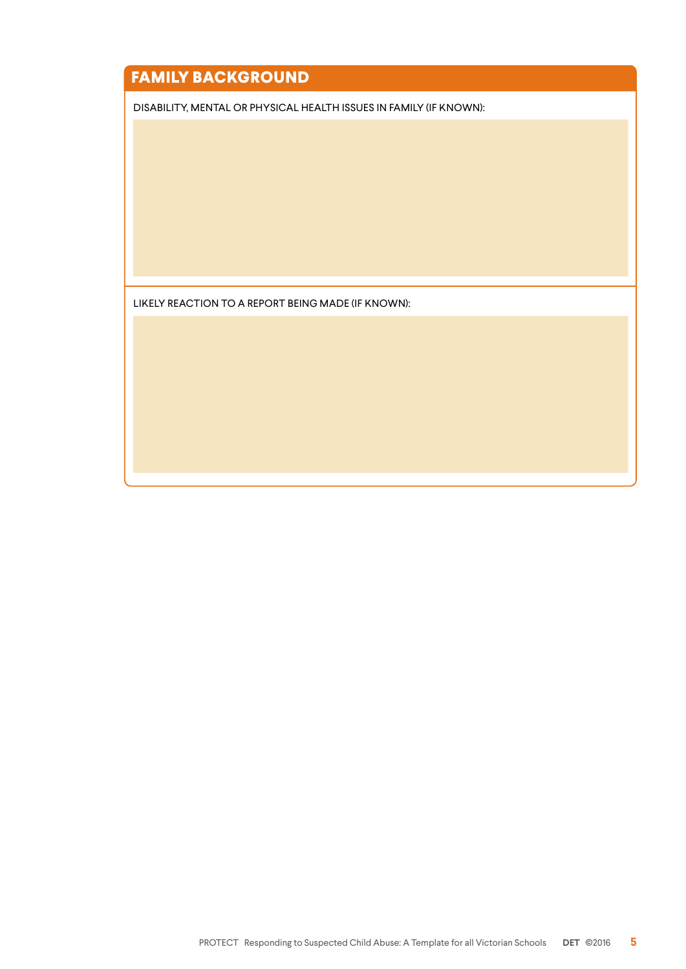### **FAMILY BACKGROUND**

DISABILITY, MENTAL OR PHYSICAL HEALTH ISSUES IN FAMILY (IF KNOWN):

LIKELY REACTION TO A REPORT BEING MADE (IF KNOWN):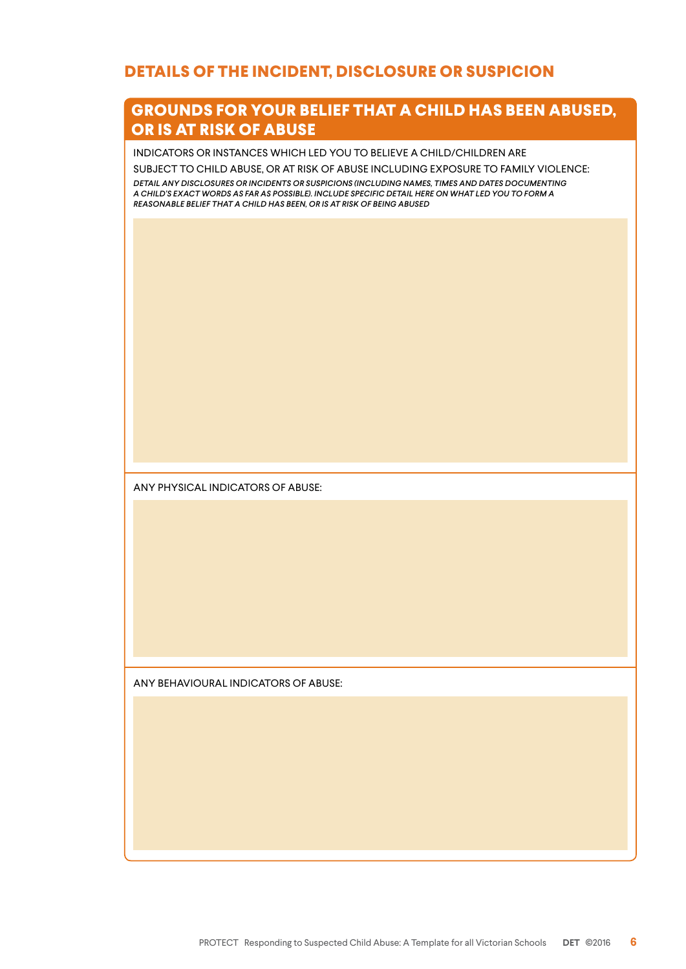#### **DETAILS OF THE INCIDENT, DISCLOSURE OR SUSPICION**

#### **GROUNDS FOR YOUR BELIEF THAT A CHILD HAS BEEN ABUSED, OR IS AT RISK OF ABUSE**

INDICATORS OR INSTANCES WHICH LED YOU TO BELIEVE A CHILD/CHILDREN ARE

SUBJECT TO CHILD ABUSE, OR AT RISK OF ABUSE INCLUDING EXPOSURE TO FAMILY VIOLENCE:

*DETAIL ANY DISCLOSURES OR INCIDENTS OR SUSPICIONS (INCLUDING NAMES, TIMES AND DATES DOCUMENTING A CHILD'S EXACT WORDS AS FAR AS POSSIBLE). INCLUDE SPECIFIC DETAIL HERE ON WHAT LED YOU TO FORM A REASONABLE BELIEF THAT A CHILD HAS BEEN, OR IS AT RISK OF BEING ABUSED*

ANY PHYSICAL INDICATORS OF ABUSE:

ANY BEHAVIOURAL INDICATORS OF ABUSE: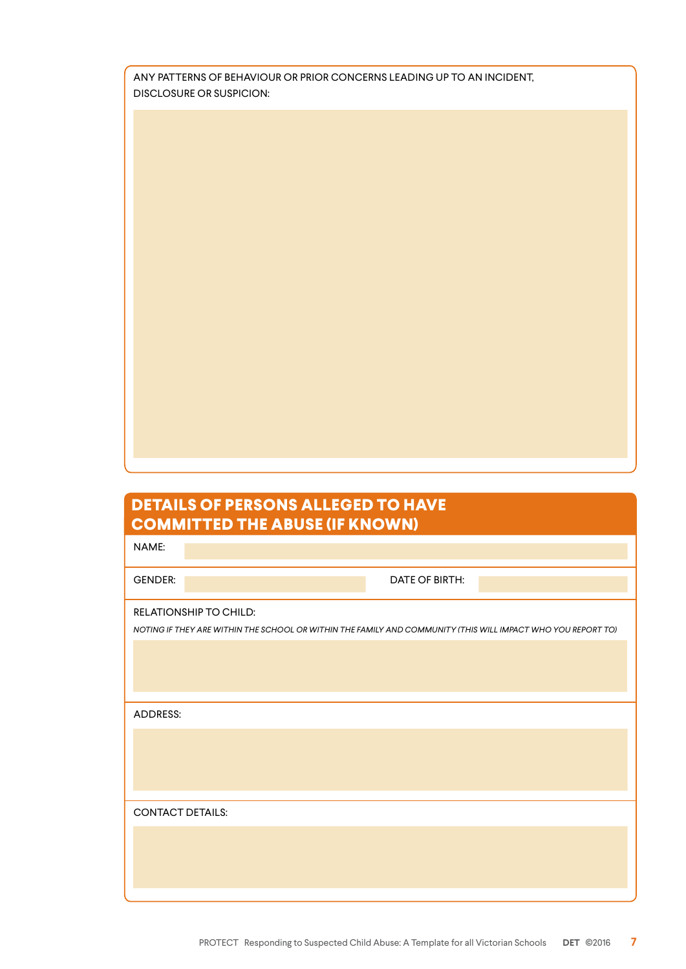| ANY PATTERNS OF BEHAVIOUR OR PRIOR CONCERNS LEADING UP TO AN INCIDENT. |
|------------------------------------------------------------------------|
| DISCLOSURE OR SUSPICION:                                               |

### **DETAILS OF PERSONS ALLEGED TO HAVE COMMITTED THE ABUSE (IF KNOWN)**

| <u> J Jinini i Led The Aldywe (A Tury Wily</u>                                                               |  |
|--------------------------------------------------------------------------------------------------------------|--|
| NAME:                                                                                                        |  |
| <b>GENDER:</b><br>DATE OF BIRTH:                                                                             |  |
| RELATIONSHIP TO CHILD:                                                                                       |  |
| NOTING IF THEY ARE WITHIN THE SCHOOL OR WITHIN THE FAMILY AND COMMUNITY (THIS WILL IMPACT WHO YOU REPORT TO) |  |
|                                                                                                              |  |
|                                                                                                              |  |
|                                                                                                              |  |
| ADDRESS:                                                                                                     |  |
|                                                                                                              |  |
|                                                                                                              |  |
|                                                                                                              |  |
|                                                                                                              |  |
| <b>CONTACT DETAILS:</b>                                                                                      |  |
|                                                                                                              |  |
|                                                                                                              |  |
|                                                                                                              |  |
|                                                                                                              |  |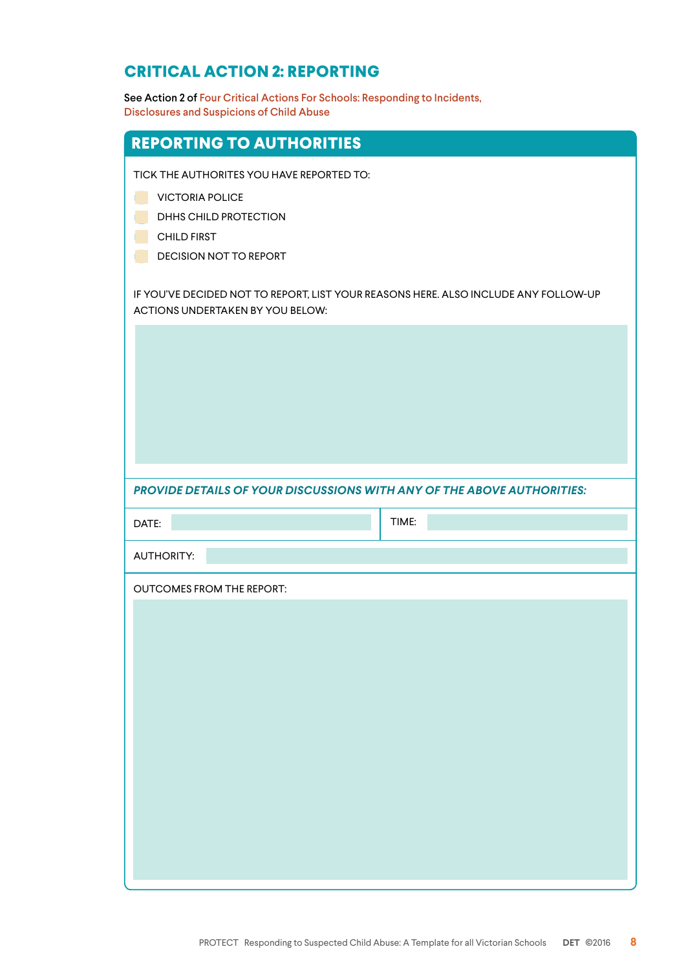#### **CRITICAL ACTION 2: REPORTING**

See Action 2 of Four Critical Actions For Schools: Responding to Incidents, Disclosures and Suspicions of Child Abuse

| <b>REPORTING TO AUTHORITIES</b>                                                                                                                                                                                                                                         |       |
|-------------------------------------------------------------------------------------------------------------------------------------------------------------------------------------------------------------------------------------------------------------------------|-------|
| TICK THE AUTHORITES YOU HAVE REPORTED TO:<br><b>VICTORIA POLICE</b><br>DHHS CHILD PROTECTION<br><b>CHILD FIRST</b><br>DECISION NOT TO REPORT<br>IF YOU'VE DECIDED NOT TO REPORT, LIST YOUR REASONS HERE. ALSO INCLUDE ANY FOLLOW-UP<br>ACTIONS UNDERTAKEN BY YOU BELOW: |       |
| PROVIDE DETAILS OF YOUR DISCUSSIONS WITH ANY OF THE ABOVE AUTHORITIES:                                                                                                                                                                                                  |       |
|                                                                                                                                                                                                                                                                         |       |
| DATE:                                                                                                                                                                                                                                                                   | TIME: |
| <b>AUTHORITY:</b>                                                                                                                                                                                                                                                       |       |
| <b>OUTCOMES FROM THE REPORT:</b>                                                                                                                                                                                                                                        |       |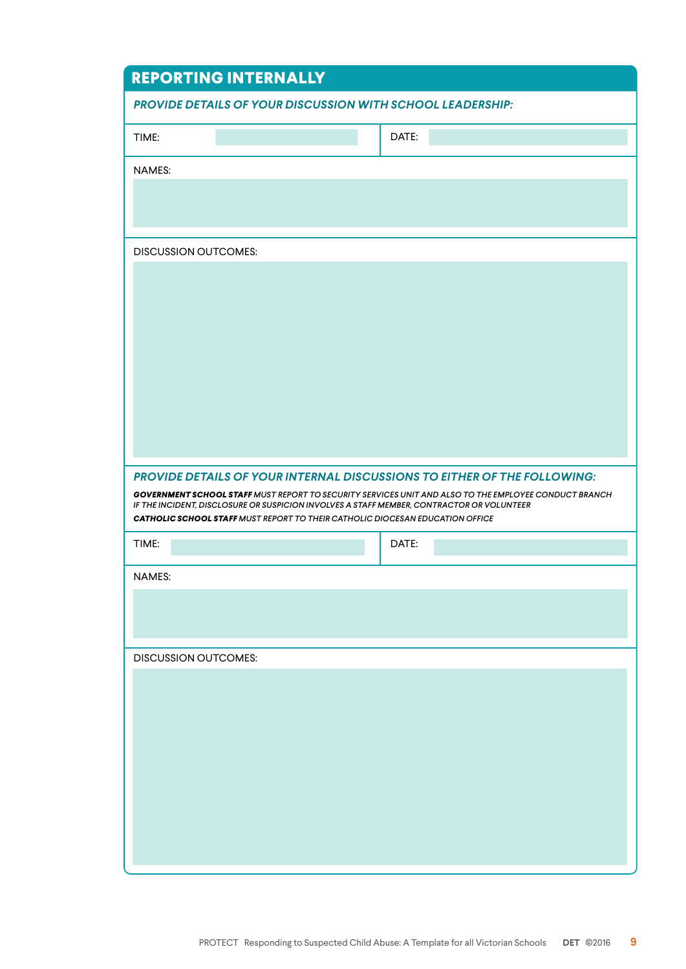| <b>REPORTING INTERNALLY</b>                                                               |                                                                                                              |  |  |
|-------------------------------------------------------------------------------------------|--------------------------------------------------------------------------------------------------------------|--|--|
| <b>PROVIDE DETAILS OF YOUR DISCUSSION WITH SCHOOL LEADERSHIP:</b>                         |                                                                                                              |  |  |
| TIME:                                                                                     | DATE:                                                                                                        |  |  |
| <b>NAMES:</b>                                                                             |                                                                                                              |  |  |
|                                                                                           |                                                                                                              |  |  |
|                                                                                           |                                                                                                              |  |  |
| <b>DISCUSSION OUTCOMES:</b>                                                               |                                                                                                              |  |  |
|                                                                                           |                                                                                                              |  |  |
|                                                                                           |                                                                                                              |  |  |
|                                                                                           |                                                                                                              |  |  |
|                                                                                           |                                                                                                              |  |  |
|                                                                                           |                                                                                                              |  |  |
|                                                                                           |                                                                                                              |  |  |
|                                                                                           |                                                                                                              |  |  |
| PROVIDE DETAILS OF YOUR INTERNAL DISCUSSIONS TO EITHER OF THE FOLLOWING:                  |                                                                                                              |  |  |
| IF THE INCIDENT, DISCLOSURE OR SUSPICION INVOLVES A STAFF MEMBER, CONTRACTOR OR VOLUNTEER | <b>GOVERNMENT SCHOOL STAFF MUST REPORT TO SECURITY SERVICES UNIT AND ALSO TO THE EMPLOYEE CONDUCT BRANCH</b> |  |  |
| <b>CATHOLIC SCHOOL STAFF MUST REPORT TO THEIR CATHOLIC DIOCESAN EDUCATION OFFICE</b>      |                                                                                                              |  |  |
| TIME:                                                                                     | DATE:                                                                                                        |  |  |
| <b>NAMES:</b>                                                                             |                                                                                                              |  |  |
|                                                                                           |                                                                                                              |  |  |
|                                                                                           |                                                                                                              |  |  |
| <b>DISCUSSION OUTCOMES:</b>                                                               |                                                                                                              |  |  |
|                                                                                           |                                                                                                              |  |  |
|                                                                                           |                                                                                                              |  |  |
|                                                                                           |                                                                                                              |  |  |
|                                                                                           |                                                                                                              |  |  |
|                                                                                           |                                                                                                              |  |  |
|                                                                                           |                                                                                                              |  |  |
|                                                                                           |                                                                                                              |  |  |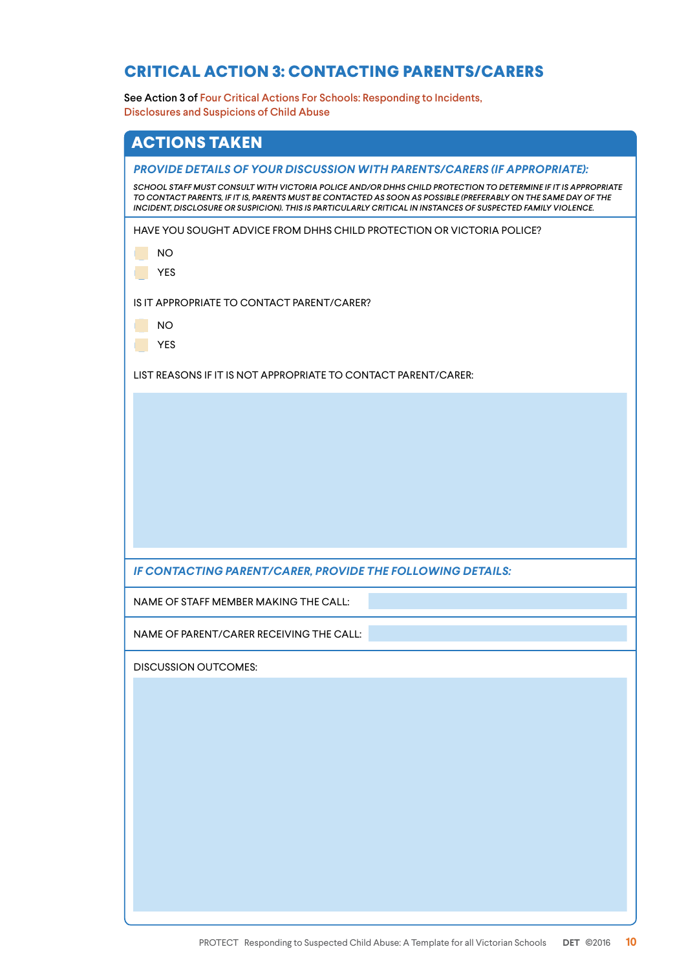#### **CRITICAL ACTION 3: CONTACTING PARENTS/CARERS**

See Action 3 of Four Critical Actions For Schools: Responding to Incidents, Disclosures and Suspicions of Child Abuse

| <b>ACTIONS TAKEN</b>                                                                                                                                                                                                                                                                                               |
|--------------------------------------------------------------------------------------------------------------------------------------------------------------------------------------------------------------------------------------------------------------------------------------------------------------------|
| <b>PROVIDE DETAILS OF YOUR DISCUSSION WITH PARENTS/CARERS (IF APPROPRIATE):</b><br>SCHOOL STAFF MUST CONSULT WITH VICTORIA POLICE AND/OR DHHS CHILD PROTECTION TO DETERMINE IF IT IS APPROPRIATE<br>TO CONTACT PARENTS, IF IT IS, PARENTS MUST BE CONTACTED AS SOON AS POSSIBLE (PREFERABLY ON THE SAME DAY OF THE |
| INCIDENT, DISCLOSURE OR SUSPICION). THIS IS PARTICULARLY CRITICAL IN INSTANCES OF SUSPECTED FAMILY VIOLENCE.<br>HAVE YOU SOUGHT ADVICE FROM DHHS CHILD PROTECTION OR VICTORIA POLICE?<br><b>NO</b><br><b>YES</b><br>IS IT APPROPRIATE TO CONTACT PARENT/CARER?                                                     |
| <b>NO</b><br><b>YES</b>                                                                                                                                                                                                                                                                                            |
| LIST REASONS IF IT IS NOT APPROPRIATE TO CONTACT PARENT/CARER:                                                                                                                                                                                                                                                     |
| IF CONTACTING PARENT/CARER, PROVIDE THE FOLLOWING DETAILS:                                                                                                                                                                                                                                                         |
| NAME OF STAFF MEMBER MAKING THE CALL:                                                                                                                                                                                                                                                                              |
| NAME OF PARENT/CARER RECEIVING THE CALL:                                                                                                                                                                                                                                                                           |
| <b>DISCUSSION OUTCOMES:</b>                                                                                                                                                                                                                                                                                        |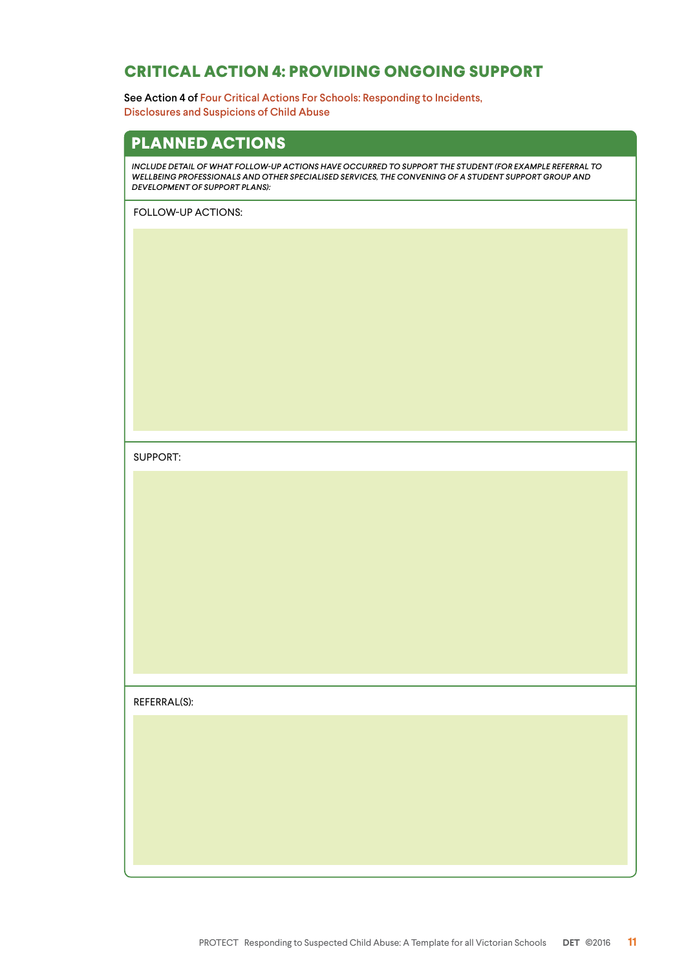#### **CRITICAL ACTION 4: PROVIDING ONGOING SUPPORT**

See Action 4 of Four Critical Actions For Schools: Responding to Incidents, Disclosures and Suspicions of Child Abuse

#### **PLANNED ACTIONS**

*INCLUDE DETAIL OF WHAT FOLLOW-UP ACTIONS HAVE OCCURRED TO SUPPORT THE STUDENT (FOR EXAMPLE REFERRAL TO WELLBEING PROFESSIONALS AND OTHER SPECIALISED SERVICES, THE CONVENING OF A STUDENT SUPPORT GROUP AND DEVELOPMENT OF SUPPORT PLANS):*

FOLLOW-UP ACTIONS:

SUPPORT:

REFERRAL(S):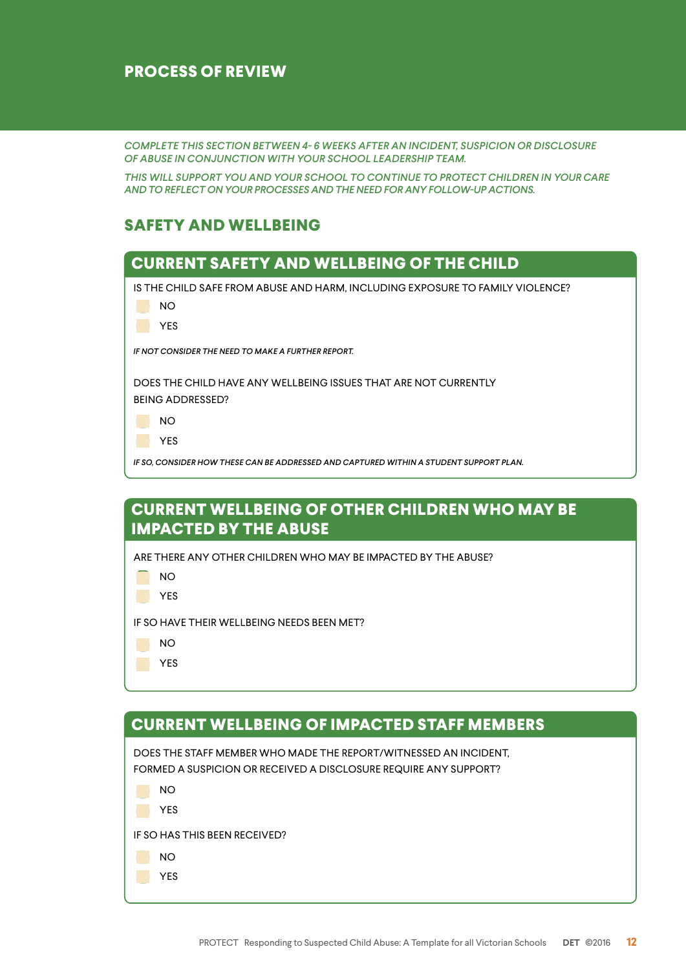#### **PROCESS OF REVIEW**

*COMPLETE THIS SECTION BETWEEN 4- 6 WEEKS AFTER AN INCIDENT, SUSPICION OR DISCLOSURE OF ABUSE IN CONJUNCTION WITH YOUR SCHOOL LEADERSHIP TEAM.* 

*THIS WILL SUPPORT YOU AND YOUR SCHOOL TO CONTINUE TO PROTECT CHILDREN IN YOUR CARE AND TO REFLECT ON YOUR PROCESSES AND THE NEED FOR ANY FOLLOW-UP ACTIONS.* 

#### **SAFETY AND WELLBEING**



#### **CURRENT WELLBEING OF OTHER CHILDREN WHO MAY BE IMPACTED BY THE ABUSE**

ARE THERE ANY OTHER CHILDREN WHO MAY BE IMPACTED BY THE ABUSE?

**NO** 

**THE YES** 

IF SO HAVE THEIR WELLBEING NEEDS BEEN MET?

NO

YES

#### **CURRENT WELLBEING OF IMPACTED STAFF MEMBERS**

DOES THE STAFF MEMBER WHO MADE THE REPORT/WITNESSED AN INCIDENT, FORMED A SUSPICION OR RECEIVED A DISCLOSURE REQUIRE ANY SUPPORT?

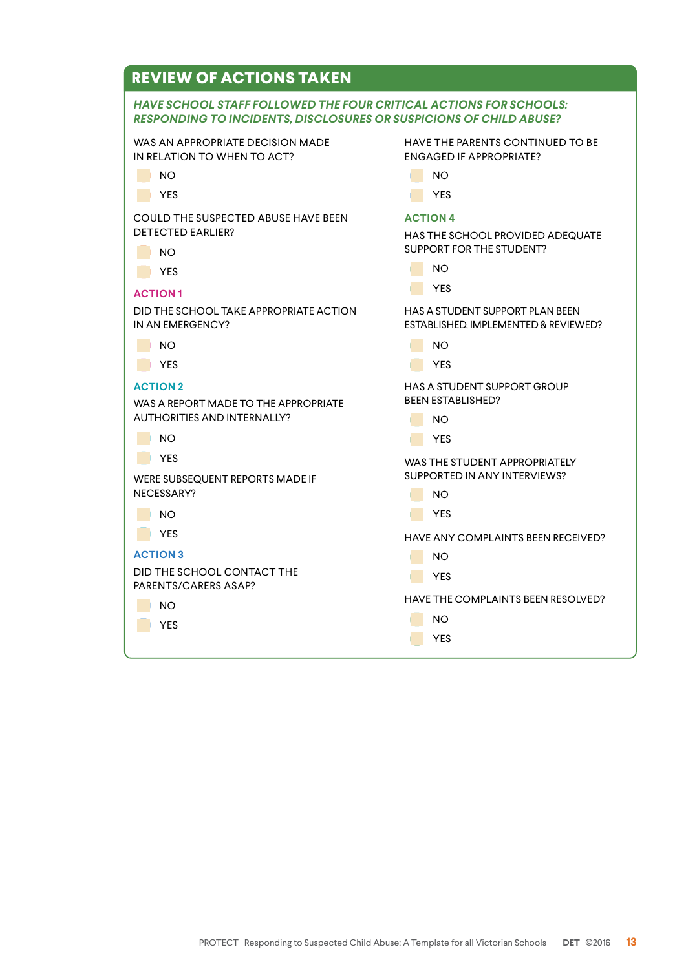